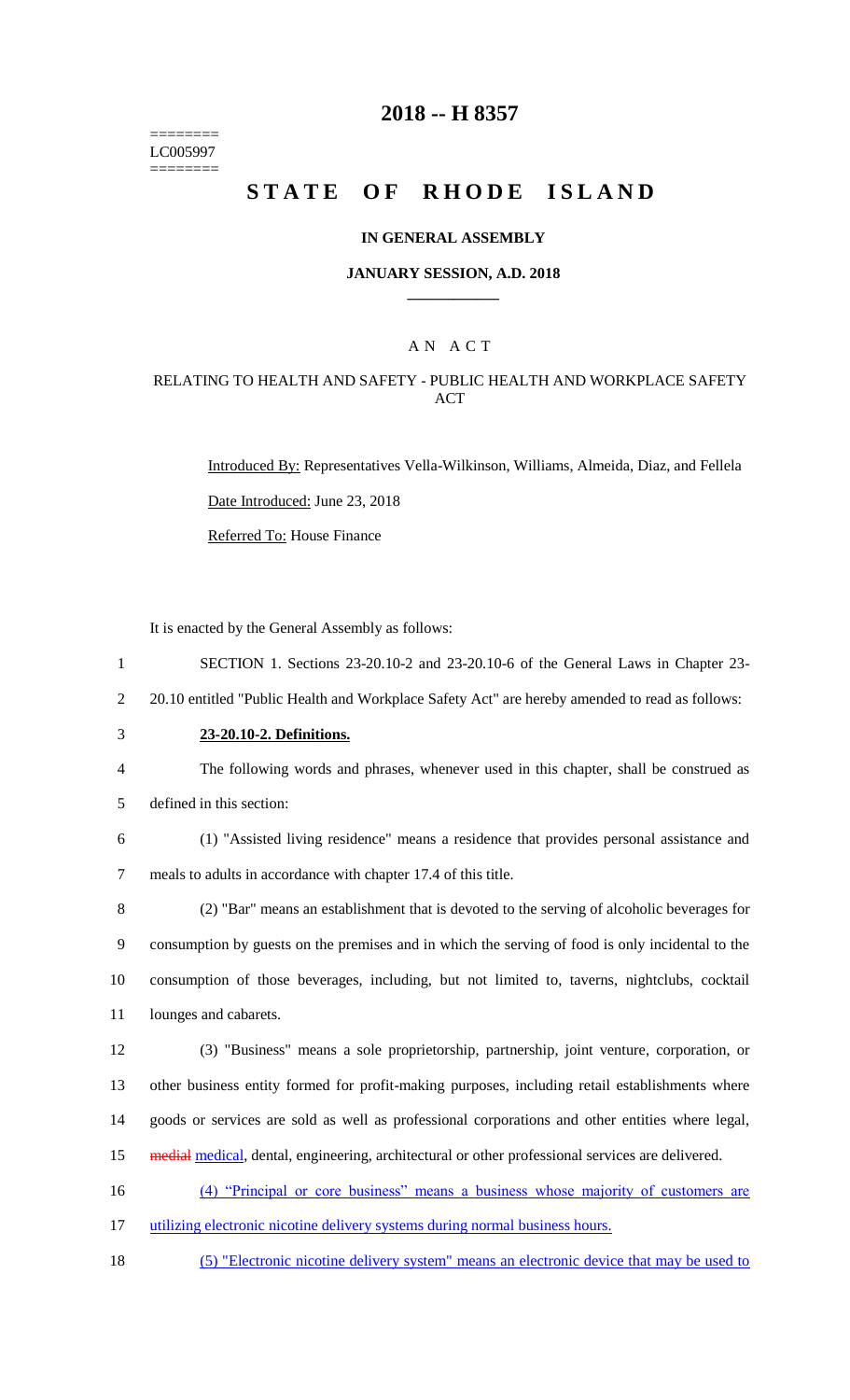======== LC005997 ========

## **2018 -- H 8357**

# STATE OF RHODE ISLAND

#### **IN GENERAL ASSEMBLY**

#### **JANUARY SESSION, A.D. 2018 \_\_\_\_\_\_\_\_\_\_\_\_**

### A N A C T

### RELATING TO HEALTH AND SAFETY - PUBLIC HEALTH AND WORKPLACE SAFETY ACT

Introduced By: Representatives Vella-Wilkinson, Williams, Almeida, Diaz, and Fellela Date Introduced: June 23, 2018

Referred To: House Finance

It is enacted by the General Assembly as follows:

- 1 SECTION 1. Sections 23-20.10-2 and 23-20.10-6 of the General Laws in Chapter 23-
- 2 20.10 entitled "Public Health and Workplace Safety Act" are hereby amended to read as follows:
- 3 **23-20.10-2. Definitions.**
- 4 The following words and phrases, whenever used in this chapter, shall be construed as
- 5 defined in this section:
- 6 (1) "Assisted living residence" means a residence that provides personal assistance and 7 meals to adults in accordance with chapter 17.4 of this title.

 (2) "Bar" means an establishment that is devoted to the serving of alcoholic beverages for consumption by guests on the premises and in which the serving of food is only incidental to the consumption of those beverages, including, but not limited to, taverns, nightclubs, cocktail lounges and cabarets.

12 (3) "Business" means a sole proprietorship, partnership, joint venture, corporation, or 13 other business entity formed for profit-making purposes, including retail establishments where 14 goods or services are sold as well as professional corporations and other entities where legal,

15 medial medical, dental, engineering, architectural or other professional services are delivered.

16 (4) "Principal or core business" means a business whose majority of customers are

17 utilizing electronic nicotine delivery systems during normal business hours.

18 (5) "Electronic nicotine delivery system" means an electronic device that may be used to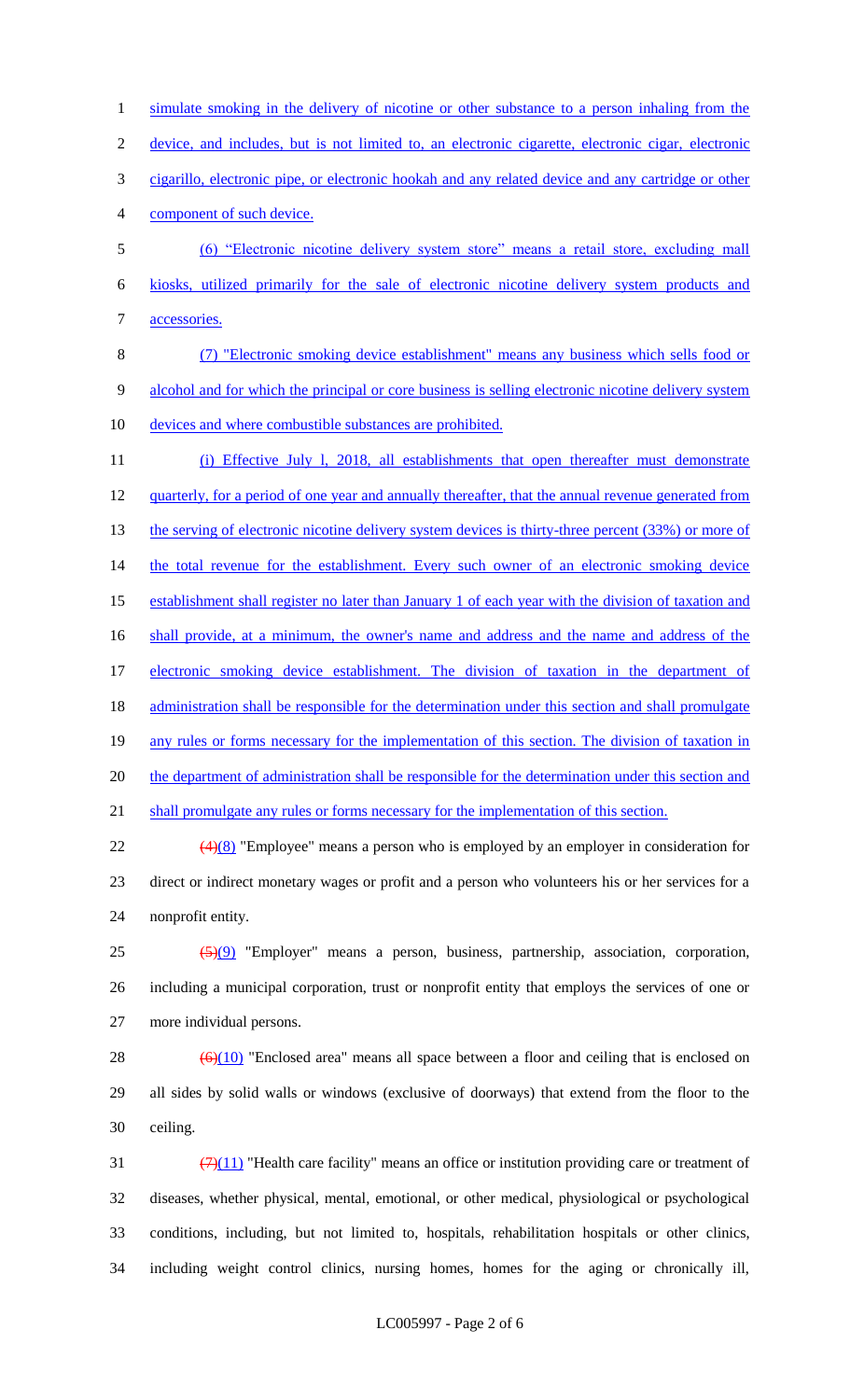1 simulate smoking in the delivery of nicotine or other substance to a person inhaling from the 2 device, and includes, but is not limited to, an electronic cigarette, electronic cigar, electronic 3 cigarillo, electronic pipe, or electronic hookah and any related device and any cartridge or other 4 component of such device. 5 (6) "Electronic nicotine delivery system store" means a retail store, excluding mall 6 kiosks, utilized primarily for the sale of electronic nicotine delivery system products and 7 accessories. 8 (7) "Electronic smoking device establishment" means any business which sells food or 9 alcohol and for which the principal or core business is selling electronic nicotine delivery system 10 devices and where combustible substances are prohibited. 11 (i) Effective July l, 2018, all establishments that open thereafter must demonstrate 12 quarterly, for a period of one year and annually thereafter, that the annual revenue generated from 13 the serving of electronic nicotine delivery system devices is thirty-three percent (33%) or more of 14 the total revenue for the establishment. Every such owner of an electronic smoking device 15 establishment shall register no later than January 1 of each year with the division of taxation and 16 shall provide, at a minimum, the owner's name and address and the name and address of the 17 electronic smoking device establishment. The division of taxation in the department of 18 administration shall be responsible for the determination under this section and shall promulgate 19 any rules or forms necessary for the implementation of this section. The division of taxation in 20 the department of administration shall be responsible for the determination under this section and 21 shall promulgate any rules or forms necessary for the implementation of this section.

 $\frac{(4)(8)}{2}$  "Employee" means a person who is employed by an employer in consideration for 23 direct or indirect monetary wages or profit and a person who volunteers his or her services for a 24 nonprofit entity.

 $25$   $\left(\frac{5}{9}\right)$  "Employer" means a person, business, partnership, association, corporation, 26 including a municipal corporation, trust or nonprofit entity that employs the services of one or 27 more individual persons.

28  $(6)(10)$  "Enclosed area" means all space between a floor and ceiling that is enclosed on 29 all sides by solid walls or windows (exclusive of doorways) that extend from the floor to the 30 ceiling.

 $\left(\frac{7}{11}\right)$  "Health care facility" means an office or institution providing care or treatment of diseases, whether physical, mental, emotional, or other medical, physiological or psychological conditions, including, but not limited to, hospitals, rehabilitation hospitals or other clinics, including weight control clinics, nursing homes, homes for the aging or chronically ill,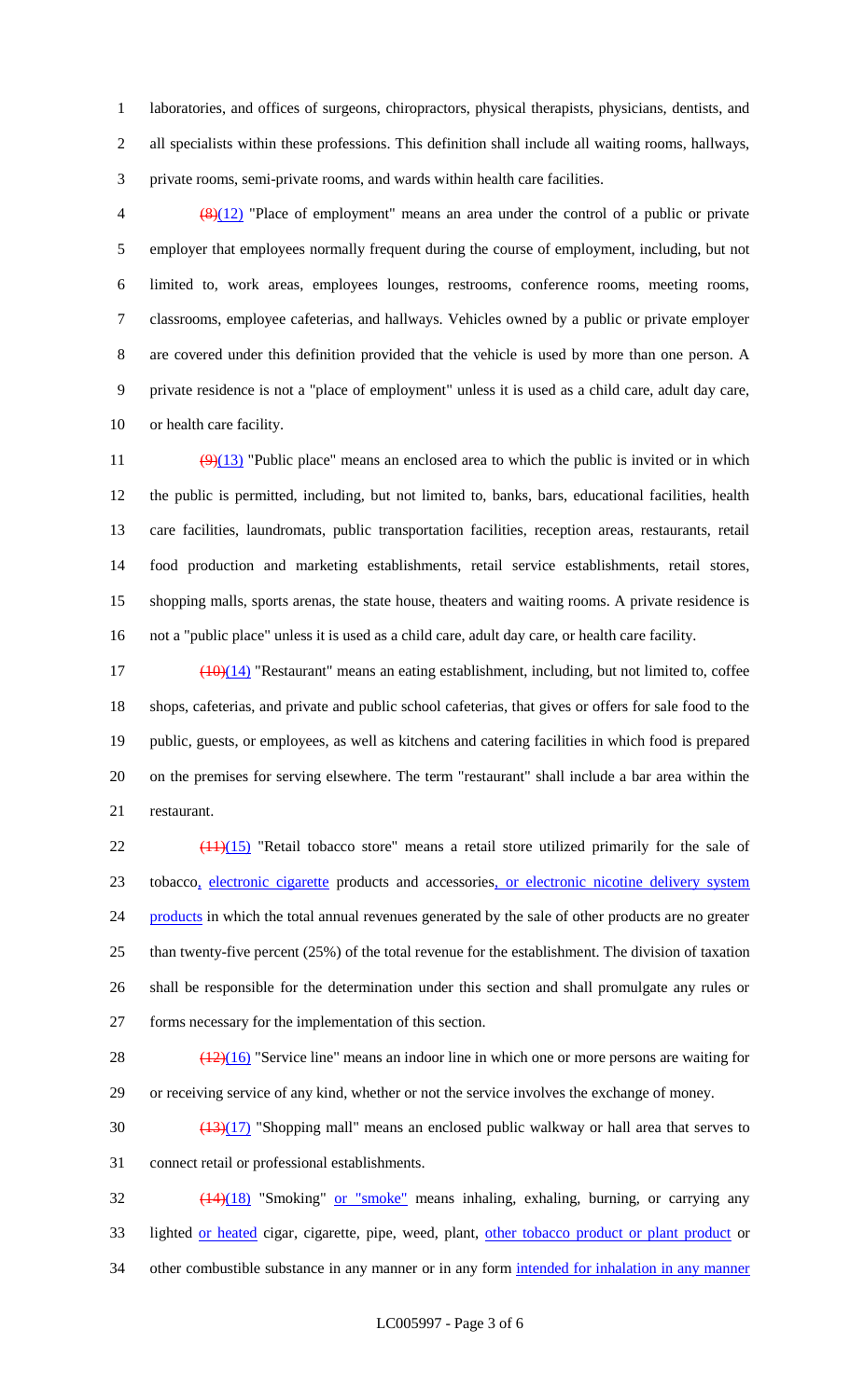laboratories, and offices of surgeons, chiropractors, physical therapists, physicians, dentists, and all specialists within these professions. This definition shall include all waiting rooms, hallways, private rooms, semi-private rooms, and wards within health care facilities.

 $\left(\frac{8}{12}\right)$  "Place of employment" means an area under the control of a public or private employer that employees normally frequent during the course of employment, including, but not limited to, work areas, employees lounges, restrooms, conference rooms, meeting rooms, classrooms, employee cafeterias, and hallways. Vehicles owned by a public or private employer are covered under this definition provided that the vehicle is used by more than one person. A private residence is not a "place of employment" unless it is used as a child care, adult day care, or health care facility.

 $\left(\frac{9}{13}\right)$  "Public place" means an enclosed area to which the public is invited or in which the public is permitted, including, but not limited to, banks, bars, educational facilities, health care facilities, laundromats, public transportation facilities, reception areas, restaurants, retail food production and marketing establishments, retail service establishments, retail stores, shopping malls, sports arenas, the state house, theaters and waiting rooms. A private residence is not a "public place" unless it is used as a child care, adult day care, or health care facility.

 $\frac{(10)(14)}{20}$  "Restaurant" means an eating establishment, including, but not limited to, coffee shops, cafeterias, and private and public school cafeterias, that gives or offers for sale food to the public, guests, or employees, as well as kitchens and catering facilities in which food is prepared on the premises for serving elsewhere. The term "restaurant" shall include a bar area within the restaurant.

 ( $\frac{(11)(15)}{11}$  "Retail tobacco store" means a retail store utilized primarily for the sale of tobacco, electronic cigarette products and accessories, or electronic nicotine delivery system 24 products in which the total annual revenues generated by the sale of other products are no greater than twenty-five percent (25%) of the total revenue for the establishment. The division of taxation shall be responsible for the determination under this section and shall promulgate any rules or forms necessary for the implementation of this section.

28  $\left(\frac{(12)(16)}{25}\right)$  "Service line" means an indoor line in which one or more persons are waiting for or receiving service of any kind, whether or not the service involves the exchange of money.

 $\frac{(13)(17)}{130}$  "Shopping mall" means an enclosed public walkway or hall area that serves to connect retail or professional establishments.

 (14)(18) "Smoking" or "smoke" means inhaling, exhaling, burning, or carrying any 33 lighted or heated cigar, cigarette, pipe, weed, plant, other tobacco product or plant product or 34 other combustible substance in any manner or in any form intended for inhalation in any manner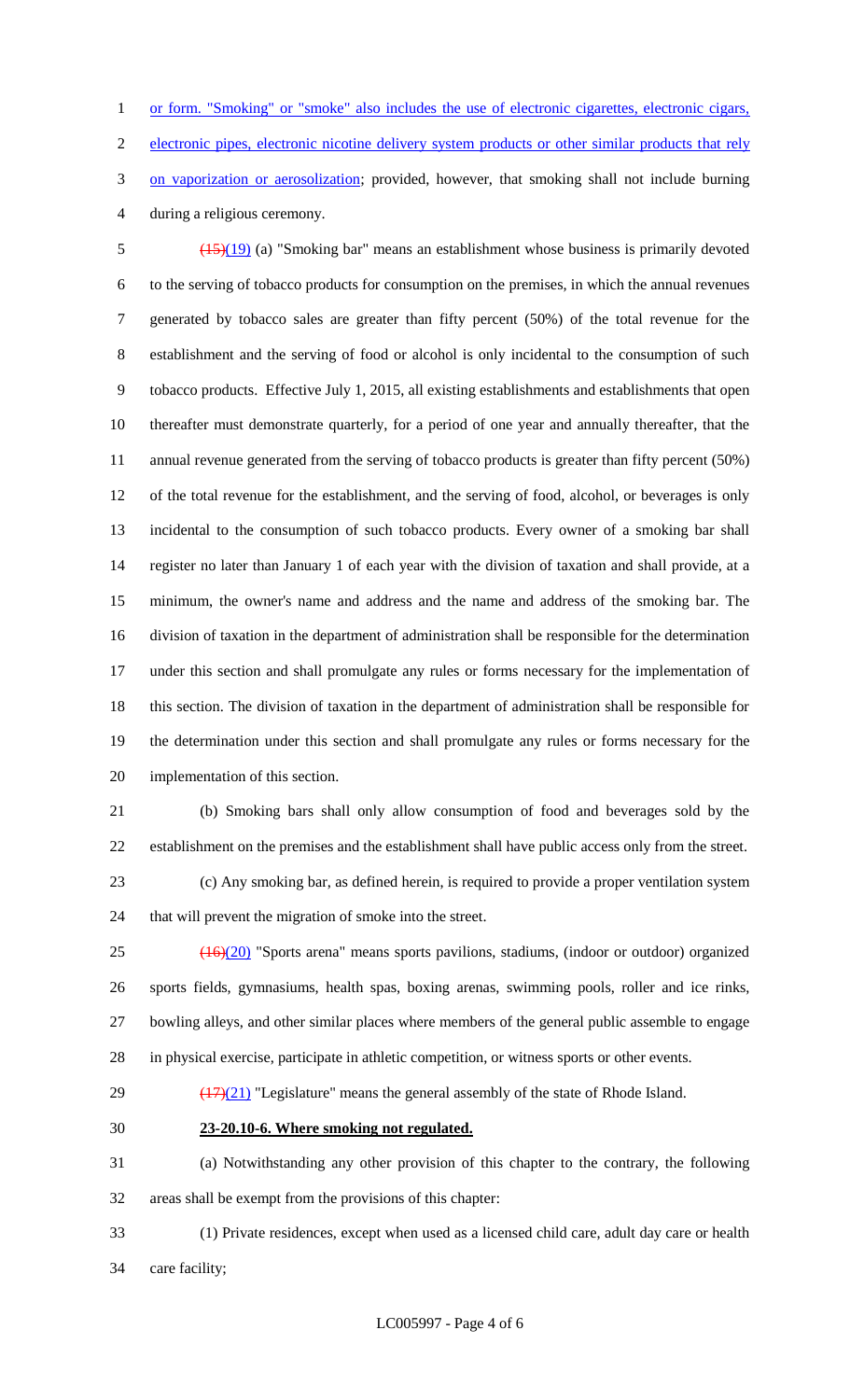or form. "Smoking" or "smoke" also includes the use of electronic cigarettes, electronic cigars, electronic pipes, electronic nicotine delivery system products or other similar products that rely 3 on vaporization or aerosolization; provided, however, that smoking shall not include burning during a religious ceremony.

 (15)(19) (a) "Smoking bar" means an establishment whose business is primarily devoted to the serving of tobacco products for consumption on the premises, in which the annual revenues generated by tobacco sales are greater than fifty percent (50%) of the total revenue for the establishment and the serving of food or alcohol is only incidental to the consumption of such tobacco products. Effective July 1, 2015, all existing establishments and establishments that open thereafter must demonstrate quarterly, for a period of one year and annually thereafter, that the annual revenue generated from the serving of tobacco products is greater than fifty percent (50%) of the total revenue for the establishment, and the serving of food, alcohol, or beverages is only incidental to the consumption of such tobacco products. Every owner of a smoking bar shall register no later than January 1 of each year with the division of taxation and shall provide, at a minimum, the owner's name and address and the name and address of the smoking bar. The division of taxation in the department of administration shall be responsible for the determination under this section and shall promulgate any rules or forms necessary for the implementation of this section. The division of taxation in the department of administration shall be responsible for the determination under this section and shall promulgate any rules or forms necessary for the implementation of this section.

 (b) Smoking bars shall only allow consumption of food and beverages sold by the establishment on the premises and the establishment shall have public access only from the street.

 (c) Any smoking bar, as defined herein, is required to provide a proper ventilation system that will prevent the migration of smoke into the street.

 (16)(20) "Sports arena" means sports pavilions, stadiums, (indoor or outdoor) organized sports fields, gymnasiums, health spas, boxing arenas, swimming pools, roller and ice rinks, bowling alleys, and other similar places where members of the general public assemble to engage in physical exercise, participate in athletic competition, or witness sports or other events.

29  $\left(\frac{(17)(21)}{(17)(21)}\right)$  "Legislature" means the general assembly of the state of Rhode Island.

**23-20.10-6. Where smoking not regulated.**

 (a) Notwithstanding any other provision of this chapter to the contrary, the following areas shall be exempt from the provisions of this chapter:

 (1) Private residences, except when used as a licensed child care, adult day care or health care facility;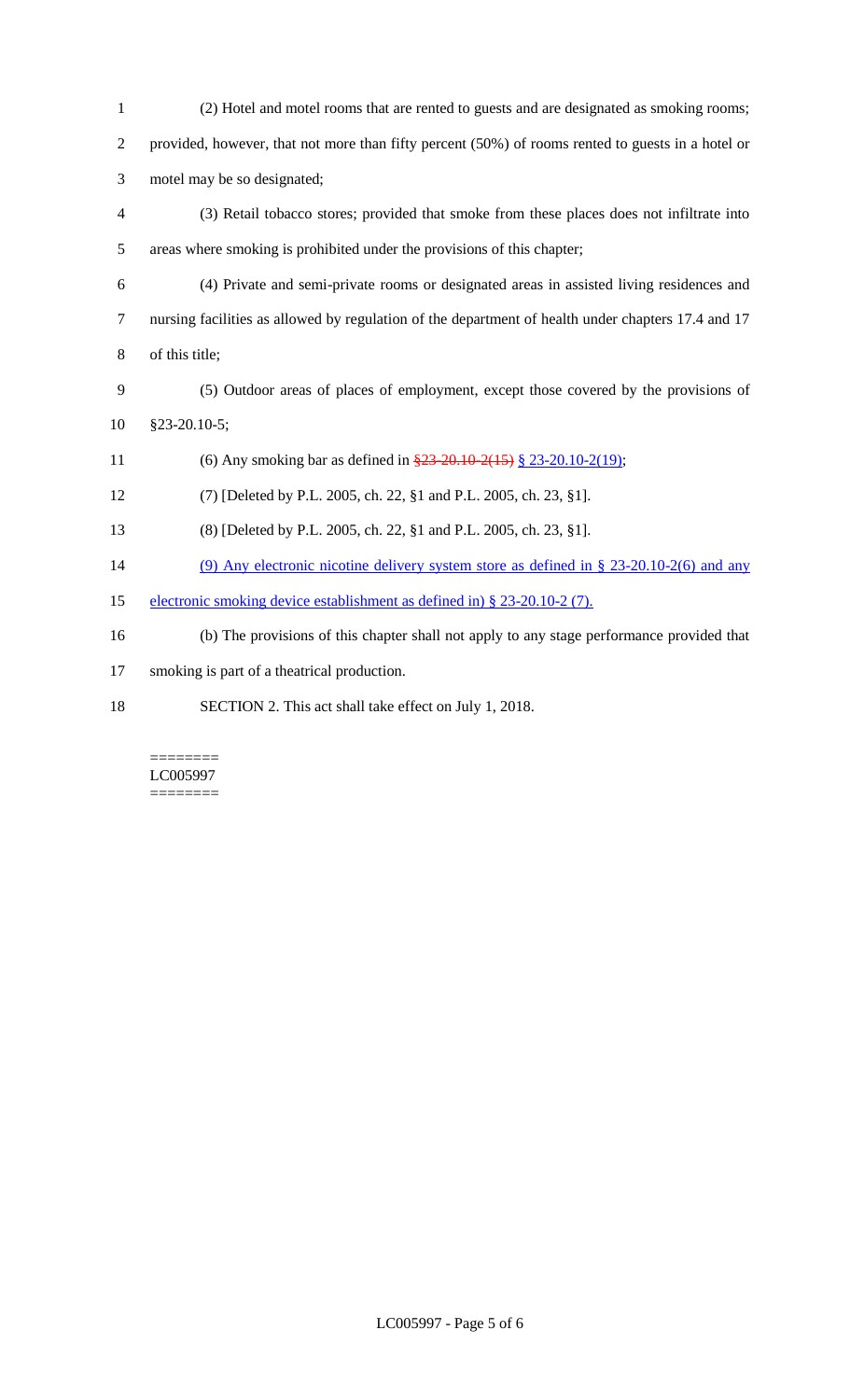| $\mathbf{1}$   | (2) Hotel and motel rooms that are rented to guests and are designated as smoking rooms;           |
|----------------|----------------------------------------------------------------------------------------------------|
| $\mathfrak{2}$ | provided, however, that not more than fifty percent (50%) of rooms rented to guests in a hotel or  |
| 3              | motel may be so designated;                                                                        |
| $\overline{4}$ | (3) Retail tobacco stores; provided that smoke from these places does not infiltrate into          |
| 5              | areas where smoking is prohibited under the provisions of this chapter;                            |
| 6              | (4) Private and semi-private rooms or designated areas in assisted living residences and           |
| $\overline{7}$ | nursing facilities as allowed by regulation of the department of health under chapters 17.4 and 17 |
| $8\,$          | of this title;                                                                                     |
| 9              | (5) Outdoor areas of places of employment, except those covered by the provisions of               |
| 10             | $§23-20.10-5;$                                                                                     |
| 11             | (6) Any smoking bar as defined in $\frac{23-20.10-2(15)}{2}$ § 23-20.10-2(19);                     |
| 12             | (7) [Deleted by P.L. 2005, ch. 22, §1 and P.L. 2005, ch. 23, §1].                                  |
| 13             | (8) [Deleted by P.L. 2005, ch. 22, §1 and P.L. 2005, ch. 23, §1].                                  |
| 14             | (9) Any electronic nicotine delivery system store as defined in $\S$ 23-20.10-2(6) and any         |
| 15             | electronic smoking device establishment as defined in) § 23-20.10-2 (7).                           |
| 16             | (b) The provisions of this chapter shall not apply to any stage performance provided that          |
| 17             | smoking is part of a theatrical production.                                                        |
| 18             | SECTION 2. This act shall take effect on July 1, 2018.                                             |

 $\equiv\equiv\equiv\equiv\equiv\equiv\equiv\equiv$ LC005997  $=$